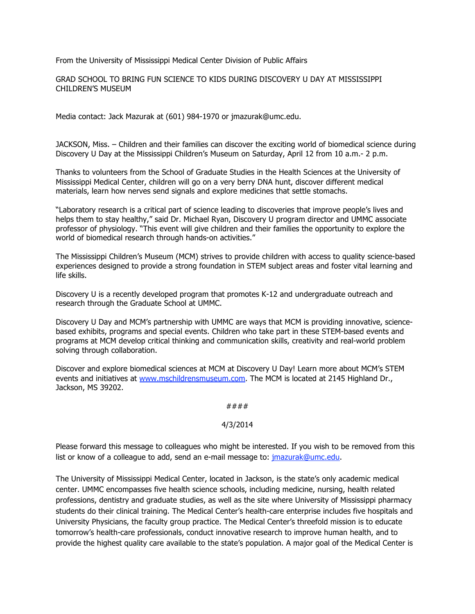From the University of Mississippi Medical Center Division of Public Affairs

GRAD SCHOOL TO BRING FUN SCIENCE TO KIDS DURING DISCOVERY U DAY AT MISSISSIPPI CHILDREN'S MUSEUM

Media contact: Jack Mazurak at (601) 984-1970 or jmazurak@umc.edu.

JACKSON, Miss. – Children and their families can discover the exciting world of biomedical science during Discovery U Day at the Mississippi Children's Museum on Saturday, April 12 from 10 a.m.- 2 p.m.

Thanks to volunteers from the School of Graduate Studies in the Health Sciences at the University of Mississippi Medical Center, children will go on a very berry DNA hunt, discover different medical materials, learn how nerves send signals and explore medicines that settle stomachs.

"Laboratory research is a critical part of science leading to discoveries that improve people's lives and helps them to stay healthy," said Dr. Michael Ryan, Discovery U program director and UMMC associate professor of physiology. "This event will give children and their families the opportunity to explore the world of biomedical research through hands-on activities."

The Mississippi Children's Museum (MCM) strives to provide children with access to quality science-based experiences designed to provide a strong foundation in STEM subject areas and foster vital learning and life skills.

Discovery U is a recently developed program that promotes K-12 and undergraduate outreach and research through the Graduate School at UMMC.

Discovery U Day and MCM's partnership with UMMC are ways that MCM is providing innovative, sciencebased exhibits, programs and special events. Children who take part in these STEM-based events and programs at MCM develop critical thinking and communication skills, creativity and real-world problem solving through collaboration.

Discover and explore biomedical sciences at MCM at Discovery U Day! Learn more about MCM's STEM events and initiatives at www.mschildrensmuseum.com. The MCM is located at 2145 Highland Dr., Jackson, MS 39202.

## ####

## 4/3/2014

Please forward this message to colleagues who might be interested. If you wish to be removed from this list or know of a colleague to add, send an e-mail message to: jmazurak@umc.edu.

The University of Mississippi Medical Center, located in Jackson, is the state's only academic medical center. UMMC encompasses five health science schools, including medicine, nursing, health related professions, dentistry and graduate studies, as well as the site where University of Mississippi pharmacy students do their clinical training. The Medical Center's health-care enterprise includes five hospitals and University Physicians, the faculty group practice. The Medical Center's threefold mission is to educate tomorrow's health-care professionals, conduct innovative research to improve human health, and to provide the highest quality care available to the state's population. A major goal of the Medical Center is